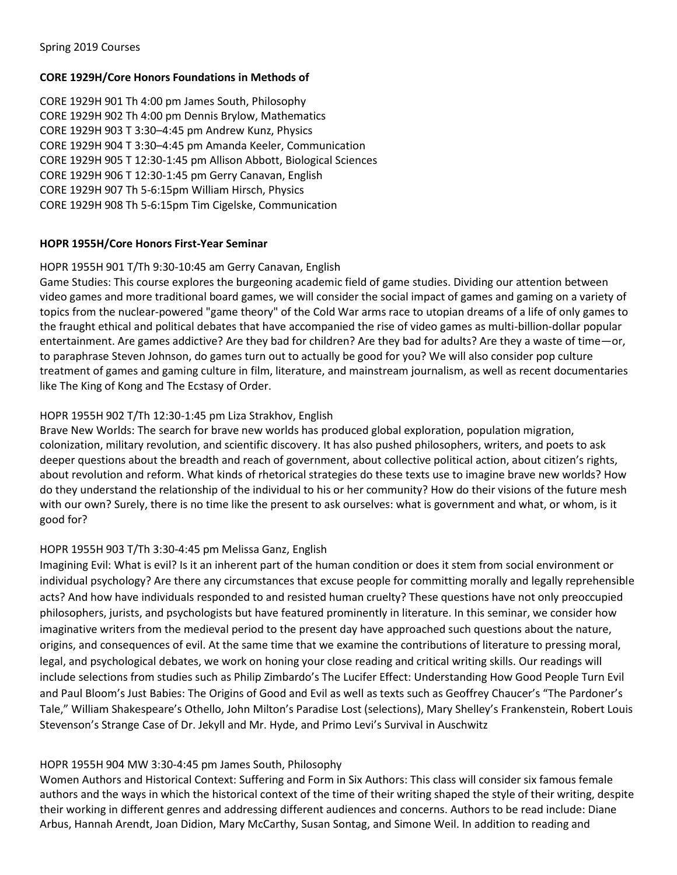### **CORE 1929H/Core Honors Foundations in Methods of**

CORE 1929H 901 Th 4:00 pm James South, Philosophy CORE 1929H 902 Th 4:00 pm Dennis Brylow, Mathematics CORE 1929H 903 T 3:30–4:45 pm Andrew Kunz, Physics CORE 1929H 904 T 3:30–4:45 pm Amanda Keeler, Communication CORE 1929H 905 T 12:30-1:45 pm Allison Abbott, Biological Sciences CORE 1929H 906 T 12:30-1:45 pm Gerry Canavan, English CORE 1929H 907 Th 5-6:15pm William Hirsch, Physics CORE 1929H 908 Th 5-6:15pm Tim Cigelske, Communication

### **HOPR 1955H/Core Honors First-Year Seminar**

### HOPR 1955H 901 T/Th 9:30-10:45 am Gerry Canavan, English

Game Studies: This course explores the burgeoning academic field of game studies. Dividing our attention between video games and more traditional board games, we will consider the social impact of games and gaming on a variety of topics from the nuclear-powered "game theory" of the Cold War arms race to utopian dreams of a life of only games to the fraught ethical and political debates that have accompanied the rise of video games as multi-billion-dollar popular entertainment. Are games addictive? Are they bad for children? Are they bad for adults? Are they a waste of time—or, to paraphrase Steven Johnson, do games turn out to actually be good for you? We will also consider pop culture treatment of games and gaming culture in film, literature, and mainstream journalism, as well as recent documentaries like The King of Kong and The Ecstasy of Order.

# HOPR 1955H 902 T/Th 12:30-1:45 pm Liza Strakhov, English

Brave New Worlds: The search for brave new worlds has produced global exploration, population migration, colonization, military revolution, and scientific discovery. It has also pushed philosophers, writers, and poets to ask deeper questions about the breadth and reach of government, about collective political action, about citizen's rights, about revolution and reform. What kinds of rhetorical strategies do these texts use to imagine brave new worlds? How do they understand the relationship of the individual to his or her community? How do their visions of the future mesh with our own? Surely, there is no time like the present to ask ourselves: what is government and what, or whom, is it good for?

# HOPR 1955H 903 T/Th 3:30-4:45 pm Melissa Ganz, English

Imagining Evil: What is evil? Is it an inherent part of the human condition or does it stem from social environment or individual psychology? Are there any circumstances that excuse people for committing morally and legally reprehensible acts? And how have individuals responded to and resisted human cruelty? These questions have not only preoccupied philosophers, jurists, and psychologists but have featured prominently in literature. In this seminar, we consider how imaginative writers from the medieval period to the present day have approached such questions about the nature, origins, and consequences of evil. At the same time that we examine the contributions of literature to pressing moral, legal, and psychological debates, we work on honing your close reading and critical writing skills. Our readings will include selections from studies such as Philip Zimbardo's The Lucifer Effect: Understanding How Good People Turn Evil and Paul Bloom's Just Babies: The Origins of Good and Evil as well as texts such as Geoffrey Chaucer's "The Pardoner's Tale," William Shakespeare's Othello, John Milton's Paradise Lost (selections), Mary Shelley's Frankenstein, Robert Louis Stevenson's Strange Case of Dr. Jekyll and Mr. Hyde, and Primo Levi's Survival in Auschwitz

# HOPR 1955H 904 MW 3:30-4:45 pm James South, Philosophy

Women Authors and Historical Context: Suffering and Form in Six Authors: This class will consider six famous female authors and the ways in which the historical context of the time of their writing shaped the style of their writing, despite their working in different genres and addressing different audiences and concerns. Authors to be read include: Diane Arbus, Hannah Arendt, Joan Didion, Mary McCarthy, Susan Sontag, and Simone Weil. In addition to reading and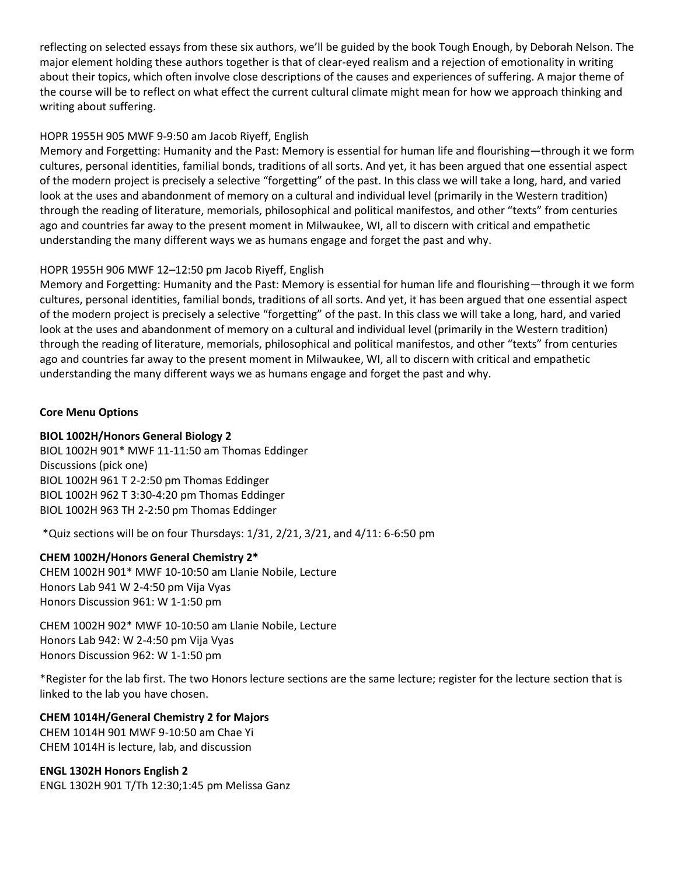reflecting on selected essays from these six authors, we'll be guided by the book Tough Enough, by Deborah Nelson. The major element holding these authors together is that of clear-eyed realism and a rejection of emotionality in writing about their topics, which often involve close descriptions of the causes and experiences of suffering. A major theme of the course will be to reflect on what effect the current cultural climate might mean for how we approach thinking and writing about suffering.

# HOPR 1955H 905 MWF 9-9:50 am Jacob Riyeff, English

Memory and Forgetting: Humanity and the Past: Memory is essential for human life and flourishing—through it we form cultures, personal identities, familial bonds, traditions of all sorts. And yet, it has been argued that one essential aspect of the modern project is precisely a selective "forgetting" of the past. In this class we will take a long, hard, and varied look at the uses and abandonment of memory on a cultural and individual level (primarily in the Western tradition) through the reading of literature, memorials, philosophical and political manifestos, and other "texts" from centuries ago and countries far away to the present moment in Milwaukee, WI, all to discern with critical and empathetic understanding the many different ways we as humans engage and forget the past and why.

# HOPR 1955H 906 MWF 12–12:50 pm Jacob Riyeff, English

Memory and Forgetting: Humanity and the Past: Memory is essential for human life and flourishing—through it we form cultures, personal identities, familial bonds, traditions of all sorts. And yet, it has been argued that one essential aspect of the modern project is precisely a selective "forgetting" of the past. In this class we will take a long, hard, and varied look at the uses and abandonment of memory on a cultural and individual level (primarily in the Western tradition) through the reading of literature, memorials, philosophical and political manifestos, and other "texts" from centuries ago and countries far away to the present moment in Milwaukee, WI, all to discern with critical and empathetic understanding the many different ways we as humans engage and forget the past and why.

# **Core Menu Options**

### **BIOL 1002H/Honors General Biology 2**

BIOL 1002H 901\* MWF 11-11:50 am Thomas Eddinger Discussions (pick one) BIOL 1002H 961 T 2-2:50 pm Thomas Eddinger BIOL 1002H 962 T 3:30-4:20 pm Thomas Eddinger BIOL 1002H 963 TH 2-2:50 pm Thomas Eddinger

\*Quiz sections will be on four Thursdays: 1/31, 2/21, 3/21, and 4/11: 6-6:50 pm

# **CHEM 1002H/Honors General Chemistry 2\***

CHEM 1002H 901\* MWF 10-10:50 am Llanie Nobile, Lecture Honors Lab 941 W 2-4:50 pm Vija Vyas Honors Discussion 961: W 1-1:50 pm

CHEM 1002H 902\* MWF 10-10:50 am Llanie Nobile, Lecture Honors Lab 942: W 2-4:50 pm Vija Vyas Honors Discussion 962: W 1-1:50 pm

\*Register for the lab first. The two Honors lecture sections are the same lecture; register for the lecture section that is linked to the lab you have chosen.

# **CHEM 1014H/General Chemistry 2 for Majors**

CHEM 1014H 901 MWF 9-10:50 am Chae Yi CHEM 1014H is lecture, lab, and discussion

# **ENGL 1302H Honors English 2**

ENGL 1302H 901 T/Th 12:30;1:45 pm Melissa Ganz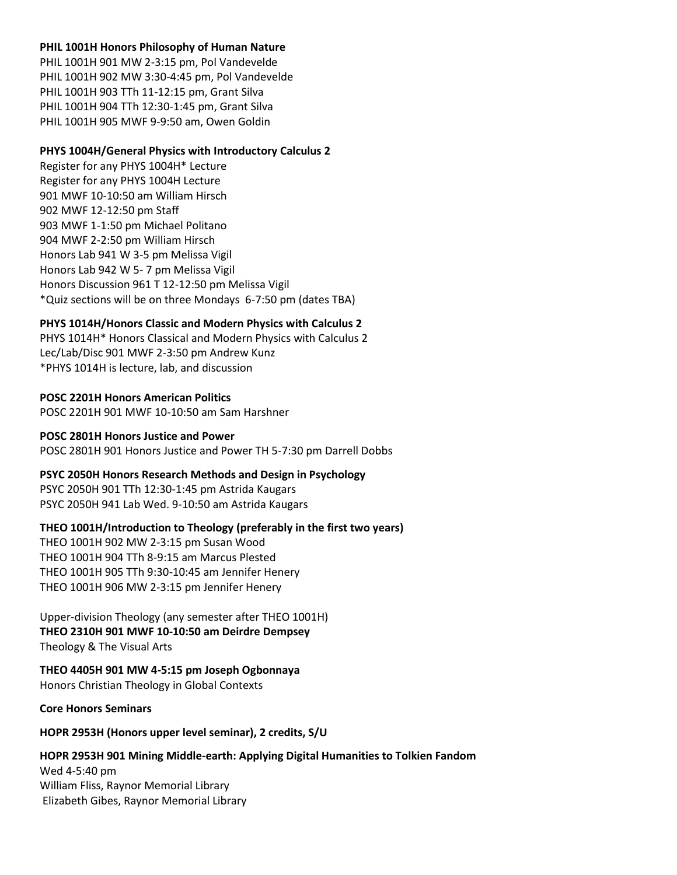#### **PHIL 1001H Honors Philosophy of Human Nature**

PHIL 1001H 901 MW 2-3:15 pm, Pol Vandevelde PHIL 1001H 902 MW 3:30-4:45 pm, Pol Vandevelde PHIL 1001H 903 TTh 11-12:15 pm, Grant Silva PHIL 1001H 904 TTh 12:30-1:45 pm, Grant Silva PHIL 1001H 905 MWF 9-9:50 am, Owen Goldin

#### **PHYS 1004H/General Physics with Introductory Calculus 2**

Register for any PHYS 1004H\* Lecture Register for any PHYS 1004H Lecture 901 MWF 10-10:50 am William Hirsch 902 MWF 12-12:50 pm Staff 903 MWF 1-1:50 pm Michael Politano 904 MWF 2-2:50 pm William Hirsch Honors Lab 941 W 3-5 pm Melissa Vigil Honors Lab 942 W 5- 7 pm Melissa Vigil Honors Discussion 961 T 12-12:50 pm Melissa Vigil \*Quiz sections will be on three Mondays 6-7:50 pm (dates TBA)

### **PHYS 1014H/Honors Classic and Modern Physics with Calculus 2**

PHYS 1014H\* Honors Classical and Modern Physics with Calculus 2 Lec/Lab/Disc 901 MWF 2-3:50 pm Andrew Kunz \*PHYS 1014H is lecture, lab, and discussion

# **POSC 2201H Honors American Politics**

POSC 2201H 901 MWF 10-10:50 am Sam Harshner

# **POSC 2801H Honors Justice and Power**

POSC 2801H 901 Honors Justice and Power TH 5-7:30 pm Darrell Dobbs

### **PSYC 2050H Honors Research Methods and Design in Psychology**

PSYC 2050H 901 TTh 12:30-1:45 pm Astrida Kaugars PSYC 2050H 941 Lab Wed. 9-10:50 am Astrida Kaugars

### **THEO 1001H/Introduction to Theology (preferably in the first two years)**

THEO 1001H 902 MW 2-3:15 pm Susan Wood THEO 1001H 904 TTh 8-9:15 am Marcus Plested THEO 1001H 905 TTh 9:30-10:45 am Jennifer Henery THEO 1001H 906 MW 2-3:15 pm Jennifer Henery

### Upper-division Theology (any semester after THEO 1001H) **THEO 2310H 901 MWF 10-10:50 am Deirdre Dempsey**  Theology & The Visual Arts

### **THEO 4405H 901 MW 4-5:15 pm Joseph Ogbonnaya**

Honors Christian Theology in Global Contexts

**Core Honors Seminars**

### **HOPR 2953H (Honors upper level seminar), 2 credits, S/U**

### **HOPR 2953H 901 Mining Middle-earth: Applying Digital Humanities to Tolkien Fandom**

Wed 4-5:40 pm William Fliss, Raynor Memorial Library Elizabeth Gibes, Raynor Memorial Library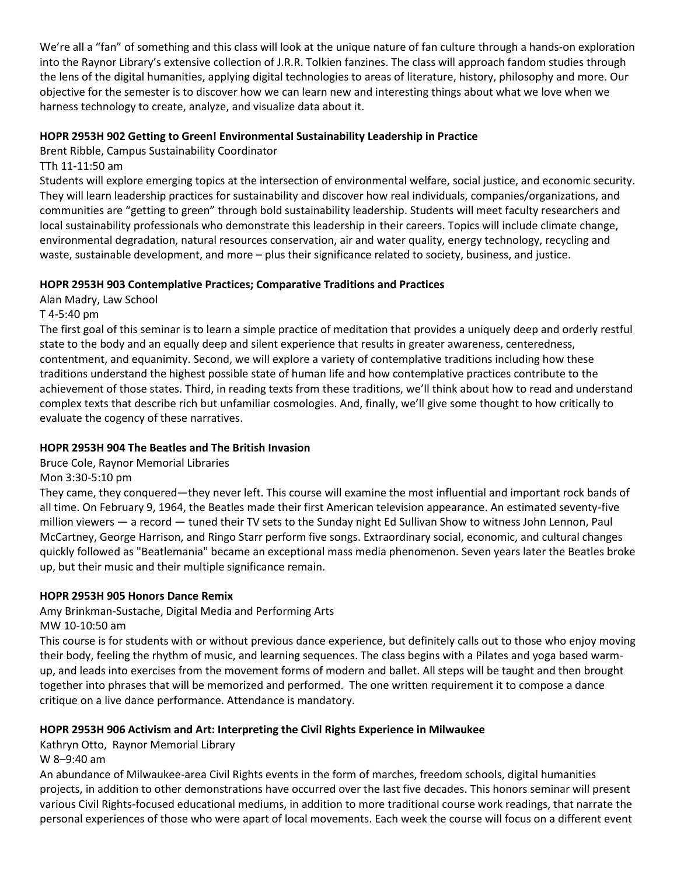We're all a "fan" of something and this class will look at the unique nature of fan culture through a hands-on exploration into the Raynor Library's extensive collection of J.R.R. Tolkien fanzines. The class will approach fandom studies through the lens of the digital humanities, applying digital technologies to areas of literature, history, philosophy and more. Our objective for the semester is to discover how we can learn new and interesting things about what we love when we harness technology to create, analyze, and visualize data about it.

# **HOPR 2953H 902 Getting to Green! Environmental Sustainability Leadership in Practice**

Brent Ribble, Campus Sustainability Coordinator

TTh 11-11:50 am

Students will explore emerging topics at the intersection of environmental welfare, social justice, and economic security. They will learn leadership practices for sustainability and discover how real individuals, companies/organizations, and communities are "getting to green" through bold sustainability leadership. Students will meet faculty researchers and local sustainability professionals who demonstrate this leadership in their careers. Topics will include climate change, environmental degradation, natural resources conservation, air and water quality, energy technology, recycling and waste, sustainable development, and more – plus their significance related to society, business, and justice.

### **HOPR 2953H 903 Contemplative Practices; Comparative Traditions and Practices**

Alan Madry, Law School

T 4-5:40 pm

The first goal of this seminar is to learn a simple practice of meditation that provides a uniquely deep and orderly restful state to the body and an equally deep and silent experience that results in greater awareness, centeredness, contentment, and equanimity. Second, we will explore a variety of contemplative traditions including how these traditions understand the highest possible state of human life and how contemplative practices contribute to the achievement of those states. Third, in reading texts from these traditions, we'll think about how to read and understand complex texts that describe rich but unfamiliar cosmologies. And, finally, we'll give some thought to how critically to evaluate the cogency of these narratives.

# **HOPR 2953H 904 The Beatles and The British Invasion**

Bruce Cole, Raynor Memorial Libraries

Mon 3:30-5:10 pm

They came, they conquered—they never left. This course will examine the most influential and important rock bands of all time. On February 9, 1964, the Beatles made their first American television appearance. An estimated seventy-five million viewers — a record — tuned their TV sets to the Sunday night Ed Sullivan Show to witness John Lennon, Paul McCartney, George Harrison, and Ringo Starr perform five songs. Extraordinary social, economic, and cultural changes quickly followed as "Beatlemania" became an exceptional mass media phenomenon. Seven years later the Beatles broke up, but their music and their multiple significance remain.

# **HOPR 2953H 905 Honors Dance Remix**

Amy Brinkman-Sustache, Digital Media and Performing Arts

MW 10-10:50 am

This course is for students with or without previous dance experience, but definitely calls out to those who enjoy moving their body, feeling the rhythm of music, and learning sequences. The class begins with a Pilates and yoga based warmup, and leads into exercises from the movement forms of modern and ballet. All steps will be taught and then brought together into phrases that will be memorized and performed. The one written requirement it to compose a dance critique on a live dance performance. Attendance is mandatory.

# **HOPR 2953H 906 Activism and Art: Interpreting the Civil Rights Experience in Milwaukee**

Kathryn Otto, Raynor Memorial Library

W 8–9:40 am

An abundance of Milwaukee-area Civil Rights events in the form of marches, freedom schools, digital humanities projects, in addition to other demonstrations have occurred over the last five decades. This honors seminar will present various Civil Rights-focused educational mediums, in addition to more traditional course work readings, that narrate the personal experiences of those who were apart of local movements. Each week the course will focus on a different event